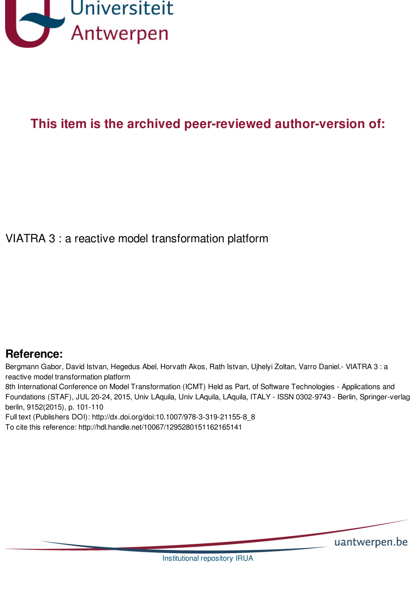

# **This item is the archived peer-reviewed author-version of:**

VIATRA 3 : a reactive model transformation platform

## **Reference:**

Bergmann Gabor, David Istvan, Hegedus Abel, Horvath Akos, Rath Istvan, Ujhelyi Zoltan, Varro Daniel.- VIATRA 3 : a reactive model transformation platform

8th International Conference on Model Transformation (ICMT) Held as Part, of Software Technologies - Applications and Foundations (STAF), JUL 20-24, 2015, Univ LAquila, Univ LAquila, LAquila, ITALY - ISSN 0302-9743 - Berlin, Springer-verlag berlin, 9152(2015), p. 101-110

Full text (Publishers DOI): http://dx.doi.org/doi:10.1007/978-3-319-21155-8\_8

To cite this reference: http://hdl.handle.net/10067/1295280151162165141

uantwerpen.be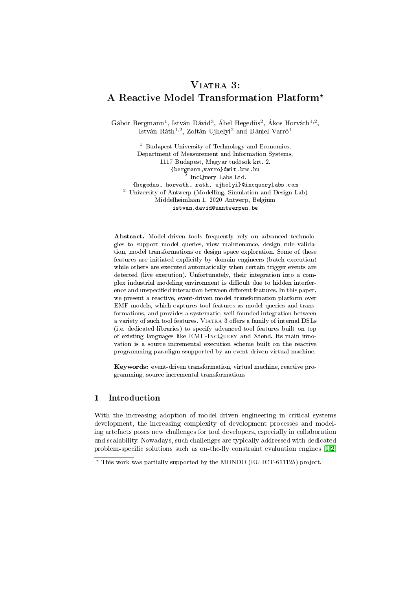## VIATRA 3: A Reactive Model Transformation Platform?

Gábor Bergmann<sup>1</sup>, István Dávid<sup>3</sup>, Ábel Hegedüs<sup>2</sup>, Ákos Horváth<sup>1,2</sup>, István Ráth<sup>1,2</sup>, Zoltán Ujhelyi<sup>2</sup> and Dániel Varró<sup>1</sup>

<sup>1</sup> Budapest University of Technology and Economics, Department of Measurement and Information Systems, 1117 Budapest, Magyar tudósok krt. 2. {bergmann,varro}@mit.bme.hu 2 IncQuery Labs Ltd. {hegedus, horvath, rath, ujhelyi}@incquerylabs.com <sup>3</sup> University of Antwerp (Modelling, Simulation and Design Lab) Middelheimlaan 1, 2020 Antwerp, Belgium istvan.david@uantwerpen.be

Abstract. Model-driven tools frequently rely on advanced technologies to support model queries, view maintenance, design rule validation, model transformations or design space exploration. Some of these features are initiated explicitly by domain engineers (batch execution) while others are executed automatically when certain trigger events are detected (live execution). Unfortunately, their integration into a complex industrial modeling environment is difficult due to hidden interference and unspecified interaction between different features. In this paper, we present a reactive, event-driven model transformation platform over EMF models, which captures tool features as model queries and transformations, and provides a systematic, well-founded integration between a variety of such tool features. VIATRA 3 offers a family of internal DSLs (i.e. dedicated libraries) to specify advanced tool features built on top of existing languages like EMF-IncQuery and Xtend. Its main innovation is a source incremental execution scheme built on the reactive programming paradigm ssupported by an event-driven virtual machine.

Keywords: event-driven transformation, virtual machine, reactive programming, source incremental transformations

## 1 Introduction

With the increasing adoption of model-driven engineering in critical systems development, the increasing complexity of development processes and modeling artefacts poses new challenges for tool developers, especially in collaboration and scalability. Nowadays, such challenges are typically addressed with dedicated problem-specific solutions such as on-the-fly constraint evaluation engines  $[1,2]$  $[1,2]$ 

<sup>?</sup> This work was partially supported by the MONDO (EU ICT-611125) project.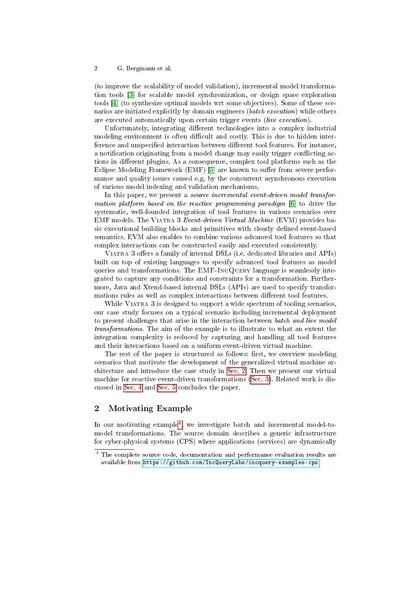(to improve the scalability of model validation), incremental model transformation tools [\[3\]](#page-10-2) for scalable model synchronization, or design space exploration tools [\[4\]](#page-10-3) (to synthesize optimal models wrt some objectives). Some of these scenarios are initiated explicitly by domain engineers (batch execution) while others are executed automatically upon certain trigger events (live execution).

Unfortunately, integrating different technologies into a complex industrial modeling environment is often difficult and costly. This is due to hidden interference and unspecified interaction between different tool features. For instance, a notification originating from a model change may easily trigger conflicting actions in different plugins. As a consequence, complex tool platforms such as the Eclipse Modeling Framework  $(EMF)$  [\[5\]](#page-10-4) are known to suffer from severe performance and quality issues caused e.g. by the concurrent asynchronous execution of various model indexing and validation mechanisms.

In this paper, we present a *source incremental event-driven model transfor-*mation platform based on the reactive programming paradigm [\[6\]](#page-10-5) to drive the systematic, well-founded integration of tool features in various scenarios over EMF models. The Viatra 3 Event-driven Virtual Machine (EVM) provides basic executional building blocks and primitives with clearly defined event-based semantics. EVM also enables to combine various advanced tool features so that complex interactions can be constructed easily and executed consistently.

VIATRA 3 offers a family of internal DSLs (i.e. dedicated libraries and APIs) built on top of existing languages to specify advanced tool features as model queries and transformations. The EMF-IncQuery language is seamlessly integrated to capture any conditions and constraints for a transformation. Furthermore, Java and Xtend-based internal DSLs (APIs) are used to specify transformations rules as well as complex interactions between different tool features.

While VIATRA 3 is designed to support a wide spectrum of tooling scenarios. our case study focuses on a typical scenario including incremental deployment to present challenges that arise in the interaction between batch and live model transformations. The aim of the example is to illustrate to what an extent the integration complexity is reduced by capturing and handling all tool features and their interactions based on a uniform event-driven virtual machine.

The rest of the paper is structured as follows: first, we overview modeling scenarios that motivate the development of the generalized virtual machine architecture and introduce the case study in [Sec. 2.](#page-2-0) Then we present our virtual machine for reactive event-driven transformations [\(Sec. 3\)](#page-4-0). Related work is discussed in [Sec. 4](#page-8-0) and [Sec. 5](#page-9-0) concludes the paper.

## <span id="page-2-0"></span>2 Motivating Example

In our motivating example<sup>[4](#page-2-1)</sup>, we investigate batch and incremental model-tomodel transformations. The source domain describes a generic infrastructure for cyber-physical systems (CPS) where applications (services) are dynamically

<span id="page-2-1"></span><sup>&</sup>lt;sup>4</sup> The complete source code, documentation and performance evaluation results are available from <https://github.com/IncQueryLabs/incquery-examples-cps>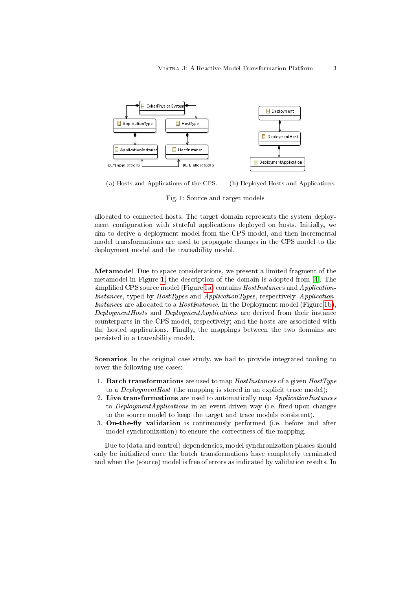<span id="page-3-0"></span>

<span id="page-3-1"></span>(a) Hosts and Applications of the CPS. (b) Deployed Hosts and Applications.

<span id="page-3-2"></span>Fig. 1: Source and target models

allocated to connected hosts. The target domain represents the system deployment configuration with stateful applications deployed on hosts. Initially, we aim to derive a deployment model from the CPS model, and then incremental model transformations are used to propagate changes in the CPS model to the deployment model and the traceability model.

Metamodel Due to space considerations, we present a limited fragment of the metamodel in Figure [1,](#page-3-0) the description of the domain is adopted from [\[4\]](#page-10-3). The simplified CPS source model (Figure [1a\)](#page-3-1) contains *HostInstances* and *Application*-Instances, typed by HostTypes and ApplicationTypes, respectively. Application-Instances are allocated to a *HostInstance*. In the Deployment model (Figure [1b\)](#page-3-2), DeploymentHosts and DeploymentApplications are derived from their instance counterparts in the CPS model, respectively; and the hosts are associated with the hosted applications. Finally, the mappings between the two domains are persisted in a traceability model.

Scenarios In the original case study, we had to provide integrated tooling to cover the following use cases:

- 1. **Batch transformations** are used to map *HostInstances* of a given *HostType* to a DeploymentHost (the mapping is stored in an explicit trace model);
- 2. Live transformations are used to automatically map ApplicationInstances to *DeploymentApplications* in an event-driven way (i.e. fired upon changes to the source model to keep the target and trace models consistent).
- 3. On-the-fly validation is continuously performed (i.e. before and after model synchronization) to ensure the correctness of the mapping.

Due to (data and control) dependencies, model synchronization phases should only be initialized once the batch transformations have completely terminated and when the (source) model is free of errors as indicated by validation results. In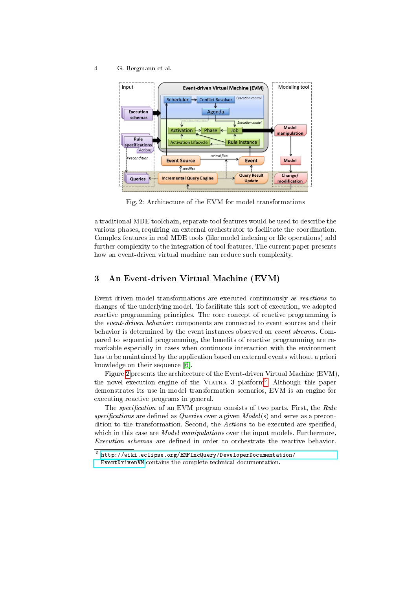<span id="page-4-1"></span>

Fig. 2: Architecture of the EVM for model transformations

a traditional MDE toolchain, separate tool features would be used to describe the various phases, requiring an external orchestrator to facilitate the coordination. Complex features in real MDE tools (like model indexing or file operations) add further complexity to the integration of tool features. The current paper presents how an event-driven virtual machine can reduce such complexity.

## <span id="page-4-0"></span>3 An Event-driven Virtual Machine (EVM)

Event-driven model transformations are executed continuously as reactions to changes of the underlying model. To facilitate this sort of execution, we adopted reactive programming principles. The core concept of reactive programming is the event-driven behavior: components are connected to event sources and their behavior is determined by the event instances observed on event streams. Compared to sequential programming, the benefits of reactive programming are remarkable especially in cases when continuous interaction with the environment has to be maintained by the application based on external events without a priori knowledge on their sequence [\[6\]](#page-10-5).

Figure [2](#page-4-1) presents the architecture of the Event-driven Virtual Machine (EVM), the novel execution engine of the VIATRA 3 platform<sup>[5](#page-4-2)</sup>. Although this paper demonstrates its use in model transformation scenarios, EVM is an engine for executing reactive programs in general.

The specification of an EVM program consists of two parts. First, the Rule specifications are defined as Queries over a given  $Model(s)$  and serve as a precondition to the transformation. Second, the Actions to be executed are specified, which in this case are *Model manipulations* over the input models. Furthermore, Execution schemas are defined in order to orchestrate the reactive behavior.

<span id="page-4-2"></span><sup>5</sup> [http://wiki.eclipse.org/EMFIncQuery/DeveloperDocumentation/](http://wiki.eclipse.org/EMFIncQuery/DeveloperDocumentation/EventDrivenVM) [EventDrivenVM](http://wiki.eclipse.org/EMFIncQuery/DeveloperDocumentation/EventDrivenVM) contains the complete technical documentation.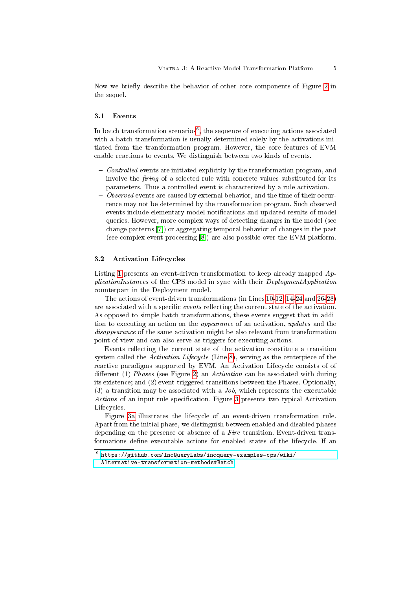Now we briefly describe the behavior of other core components of Figure [2](#page-4-1) in the sequel.

#### 3.1 Events

In batch transformation scenarios<sup>[6](#page-5-0)</sup>, the sequence of executing actions associated with a batch transformation is usually determined solely by the activations initiated from the transformation program. However, the core features of EVM enable reactions to events. We distinguish between two kinds of events.

- $\sim$  Controlled events are initiated explicitly by the transformation program, and involve the *firing* of a selected rule with concrete values substituted for its parameters. Thus a controlled event is characterized by a rule activation.
- $-Observed$  events are caused by external behavior, and the time of their occurrence may not be determined by the transformation program. Such observed events include elementary model notifications and updated results of model queries. However, more complex ways of detecting changes in the model (see change patterns [\[7\]](#page-10-6)) or aggregating temporal behavior of changes in the past (see complex event processing [\[8\]](#page-10-7)) are also possible over the EVM platform.

#### 3.2 Activation Lifecycles

Listing [1](#page-6-0) presents an event-driven transformation to keep already mapped ApplicationInstances of the CPS model in sync with their DeploymentApplication counterpart in the Deployment model.

The actions of event-driven transformations (in Lines [10](#page-6-1)[-12,](#page-6-2) [14](#page-6-3)[-24](#page-6-4) and [26](#page-6-5)[-28\)](#page-6-6) are associated with a specific events reflecting the current state of the activation. As opposed to simple batch transformations, these events suggest that in addition to executing an action on the appearance of an activation, updates and the disappearance of the same activation might be also relevant from transformation point of view and can also serve as triggers for executing actions.

Events reflecting the current state of the activation constitute a transition system called the *Activation Lifecycle* (Line [8\)](#page-6-7), serving as the centerpiece of the reactive paradigms supported by EVM. An Activation Lifecycle consists of of different (1) Phases (see Figure [2\)](#page-4-1) an Activation can be associated with during its existence; and (2) event-triggered transitions between the Phases. Optionally, (3) a transition may be associated with a  $J_{0}b$ , which represents the executable Actions of an input rule specification. Figure [3](#page-7-0) presents two typical Activation Lifecycles.

Figure [3a](#page-7-1) illustrates the lifecycle of an event-driven transformation rule. Apart from the initial phase, we distinguish between enabled and disabled phases depending on the presence or absence of a Fire transition. Event-driven transformations define executable actions for enabled states of the lifecycle. If an

<span id="page-5-0"></span> $^6$  [https://github.com/IncQueryLabs/incquery-examples-cps/wiki/](https://github.com/IncQueryLabs/incquery-examples-cps/wiki/Alternative-transformation-methods#Batch) [Alternative-transformation-methods#Batch](https://github.com/IncQueryLabs/incquery-examples-cps/wiki/Alternative-transformation-methods#Batch)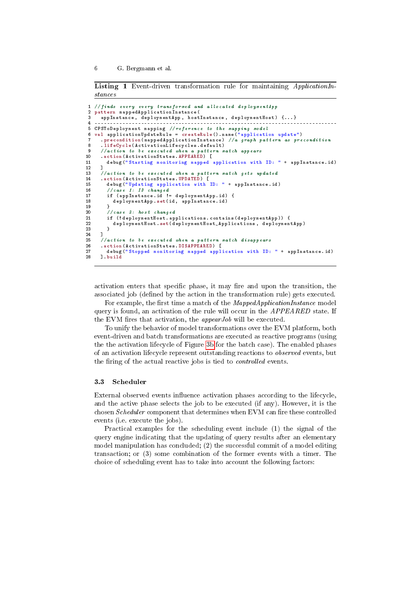<span id="page-6-0"></span>Listing 1 Event-driven transformation rule for maintaining *ApplicationIn*stances

```
1 // finds every every transformed and allocated deployment App<br>2 pattern mapped Application Instance (
    2 pattern mappedApplicationInstance (
      appInstance, deploymentApp, hostInstance, deploymentHost) {...}
 4 ------------------------------------------------------------------------------
5 CPSToDeployment mapping // reference to the mapping model
 6 val applicationUpdateRule = createRule (). name (" application update ")
       7 . precondition ( mappedApplicationInstance ) //a graph pattern as precondition
 8 . lifeCycle (ActivationLifecycles . default)<br>9 //action to be executed when a pattern n
9 // action to be executed when a pattern match appears<br>10 . action (ActivationStates APPEARED) [
10 . action (ActivationStates . APPEARED) [<br>11 debug ("Starting monitoring mapped
          11 debug (" Starting monitoring mapped application with ID: " + appInstance . id )
12 ]
13 // action to be executed when a pattern match gets updated<br>14 .action(ActivationStates.UPDATED)[
15 debug ("Updating application with ID: " + appInstance.id)<br>16 //case 1: ID changed
16 // case 1: ID changed<br>17 if (appInstance.id!
          17 if ( appInstance . id != deploymentApp . id ) {
             deploymentApp . set (id, appInstance . id)
\begin{bmatrix} 18 \\ 19 \\ 20 \end{bmatrix}20 // case 2: host changed<br>21 if (! deployment Host.ap
21 if (!deploymentHost.applications.contains (deploymentApp)) {<br>22 deploymentHost.set (deploymentHost_Applications, deploymen
             deploymentHost.set ( deploymentHost_Applications, deploymentApp)
23 }
24 ]
25 // action to be executed when a pattern match disappears
26 . action (Activation States . DISAPPEARED) [<br>27 . debug ("Stopped monitoring mapped appl
27 debug ("Stopped monitoring mapped application with ID: " + appInstance .id)<br>28 ] build
       28 ]. build
```
<span id="page-6-6"></span><span id="page-6-5"></span><span id="page-6-4"></span>activation enters that specific phase, it may fire and upon the transition, the associated job (defined by the action in the transformation rule) gets executed.

For example, the first time a match of the *MappedApplicationInstance* model query is found, an activation of the rule will occur in the *APPEARED* state. If the EVM fires that activation, the *appear Job* will be executed.

To unify the behavior of model transformations over the EVM platform, both event-driven and batch transformations are executed as reactive programs (using the the activation lifecycle of Figure [3b](#page-7-2) for the batch case). The enabled phases of an activation lifecycle represent outstanding reactions to observed events, but the firing of the actual reactive jobs is tied to *controlled* events.

#### 3.3 Scheduler

External observed events influence activation phases according to the lifecycle, and the active phase selects the job to be executed (if any). However, it is the chosen *Scheduler* component that determines when EVM can fire these controlled events (i.e. execute the jobs).

Practical examples for the scheduling event include (1) the signal of the query engine indicating that the updating of query results after an elementary model manipulation has concluded; (2) the successful commit of a model editing transaction; or (3) some combination of the former events with a timer. The choice of scheduling event has to take into account the following factors: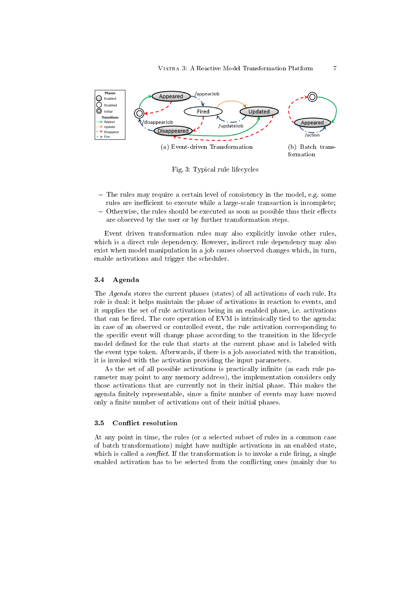<span id="page-7-0"></span>

<span id="page-7-2"></span><span id="page-7-1"></span>Fig. 3: Typical rule lifecycles

- $-$  The rules may require a certain level of consistency in the model, e.g. some rules are inefficient to execute while a large-scale transaction is incomplete;
- $-$  Otherwise, the rules should be executed as soon as possible thus their effects are observed by the user or by further transformation steps.

Event driven transformation rules may also explicitly invoke other rules, which is a direct rule dependency. However, indirect rule dependency may also exist when model manipulation in a job causes observed changes which, in turn, enable activations and trigger the scheduler.

#### 3.4 Agenda

The Agenda stores the current phases (states) of all activations of each rule. Its role is dual: it helps maintain the phase of activations in reaction to events, and it supplies the set of rule activations being in an enabled phase, i.e. activations that can be fired. The core operation of EVM is intrinsically tied to the agenda: in case of an observed or controlled event, the rule activation corresponding to the specific event will change phase according to the transition in the lifecycle model defined for the rule that starts at the current phase and is labeled with the event type token. Afterwards, if there is a job associated with the transition, it is invoked with the activation providing the input parameters.

As the set of all possible activations is practically infinite (as each rule parameter may point to any memory address), the implementation considers only those activations that are currently not in their initial phase. This makes the agenda finitely representable, since a finite number of events may have moved only a finite number of activations out of their initial phases.

#### 3.5 Conflict resolution

At any point in time, the rules (or a selected subset of rules in a common case of batch transformations) might have multiple activations in an enabled state, which is called a *conflict*. If the transformation is to invoke a rule firing, a single enabled activation has to be selected from the conflicting ones (mainly due to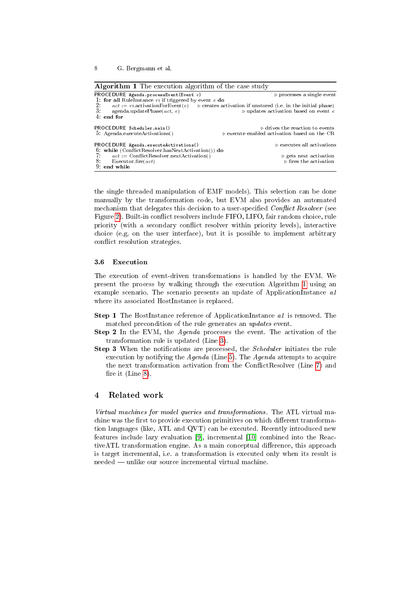<span id="page-8-1"></span>

| <b>Algorithm 1</b> The execution algorithm of the case study |                                                                                                               |
|--------------------------------------------------------------|---------------------------------------------------------------------------------------------------------------|
| PROCEDURE Agenda.processEvent(Event $e$ )                    | $\triangleright$ processes a single event                                                                     |
| 1. for all RuleInstance ri if triggered by event e do        |                                                                                                               |
| 2:                                                           | $act := r_i$ activation For Event(e) $\Rightarrow$ creates activation if unstored (i.e. in the initial phase) |
| 3.<br>agenda.updatePhase(act, e)                             | $\triangleright$ updates activation based on event e                                                          |
| $4:$ end for                                                 |                                                                                                               |
| PROCEDURE Scheduler.main()                                   | $\triangleright$ drives the reaction to events                                                                |
| 5: Agenda.executeActivations()                               | $\triangleright$ execute enabled activation based on the CR                                                   |
| PROCEDURE Agenda.executeActivations()                        | $\triangleright$ executes all activations                                                                     |
| 6: while $(ConflictResolver.hasNextAction())$ do             |                                                                                                               |
| 7.<br>$act := \text{ConflictResolver.nextAction}()$          | $\triangleright$ gets next activation                                                                         |
| 8.<br>Executor.fire $(act)$                                  | $\triangleright$ fires the activation                                                                         |
| $9:$ end while                                               |                                                                                                               |

the single threaded manipulation of EMF models). This selection can be done manually by the transformation code, but EVM also provides an automated mechanism that delegates this decision to a user-specified Conflict Resolver (see Figure [2\)](#page-4-1). Built-in conflict resolvers include FIFO, LIFO, fair random choice, rule priority (with a secondary conflict resolver within priority levels), interactive choice (e.g. on the user interface), but it is possible to implement arbitrary conflict resolution strategies.

#### <span id="page-8-2"></span>3.6 Execution

The execution of event-driven transformations is handled by the EVM. We present the process by walking through the execution Algorithm [1](#page-8-1) using an example scenario. The scenario presents an update of ApplicationInstance a1 where its associated HostInstance is replaced.

- **Step 1** The HostInstance reference of ApplicationInstance a1 is removed. The matched precondition of the rule generates an updates event.
- Step 2 In the EVM, the Agenda processes the event. The activation of the transformation rule is updated (Line [3\)](#page-8-2).
- Step 3 When the notifications are processed, the Scheduler initiates the rule execution by notifying the Agenda (Line [5\)](#page-8-2). The Agenda attempts to acquire the next transformation activation from the ConflictResolver (Line [7\)](#page-8-2) and fire it (Line [8\)](#page-8-2).

## <span id="page-8-0"></span>4 Related work

Virtual machines for model queries and transformations. The ATL virtual machine was the first to provide execution primitives on which different transformation languages (like, ATL and QVT) can be executed. Recently introduced new features include lazy evaluation [\[9\]](#page-10-8), incremental [\[10\]](#page-10-9) combined into the ReactiveATL transformation engine. As a main conceptual difference, this approach is target incremental, i.e. a transformation is executed only when its result is needed — unlike our source incremental virtual machine.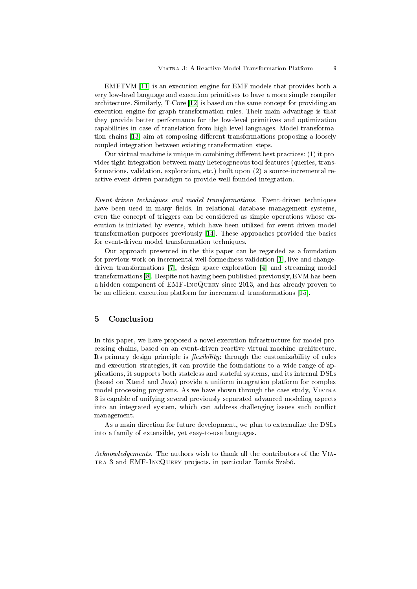EMFTVM [\[11\]](#page-10-10) is an execution engine for EMF models that provides both a very low-level language and execution primitives to have a more simple compiler architecture. Similarly, T-Core [\[12\]](#page-10-11) is based on the same concept for providing an execution engine for graph transformation rules. Their main advantage is that they provide better performance for the low-level primitives and optimization capabilities in case of translation from high-level languages. Model transforma-tion chains [\[13\]](#page-10-12) aim at composing different transformations proposing a loosely coupled integration between existing transformation steps.

Our virtual machine is unique in combining different best practices:  $(1)$  it provides tight integration between many heterogeneous tool features (queries, transformations, validation, exploration, etc.) built upon (2) a source-incremental reactive event-driven paradigm to provide well-founded integration.

Event-driven techniques and model transformations. Event-driven techniques have been used in many fields. In relational database management systems, even the concept of triggers can be considered as simple operations whose execution is initiated by events, which have been utilized for event-driven model transformation purposes previously [\[14\]](#page-10-13). These approaches provided the basics for event-driven model transformation techniques.

Our approach presented in the this paper can be regarded as a foundation for previous work on incremental well-formedness validation [\[1\]](#page-10-0), live and changedriven transformations [\[7\]](#page-10-6), design space exploration [\[4\]](#page-10-3) and streaming model transformations [\[8\]](#page-10-7). Despite not having been published previously, EVM has been a hidden component of EMF-IncQuery since 2013, and has already proven to be an efficient execution platform for incremental transformations [\[15\]](#page-10-14).

## <span id="page-9-0"></span>5 Conclusion

In this paper, we have proposed a novel execution infrastructure for model processing chains, based on an event-driven reactive virtual machine architecture. Its primary design principle is *flexibility*: through the customizability of rules and execution strategies, it can provide the foundations to a wide range of applications, it supports both stateless and stateful systems, and its internal DSLs (based on Xtend and Java) provide a uniform integration platform for complex model processing programs. As we have shown through the case study, Viatra 3 is capable of unifying several previously separated advanced modeling aspects into an integrated system, which can address challenging issues such conflict management.

As a main direction for future development, we plan to externalize the DSLs into a family of extensible, yet easy-to-use languages.

Acknowledgements. The authors wish to thank all the contributors of the VIAtra 3 and EMF-IncQuery projects, in particular Tamás Szabó.